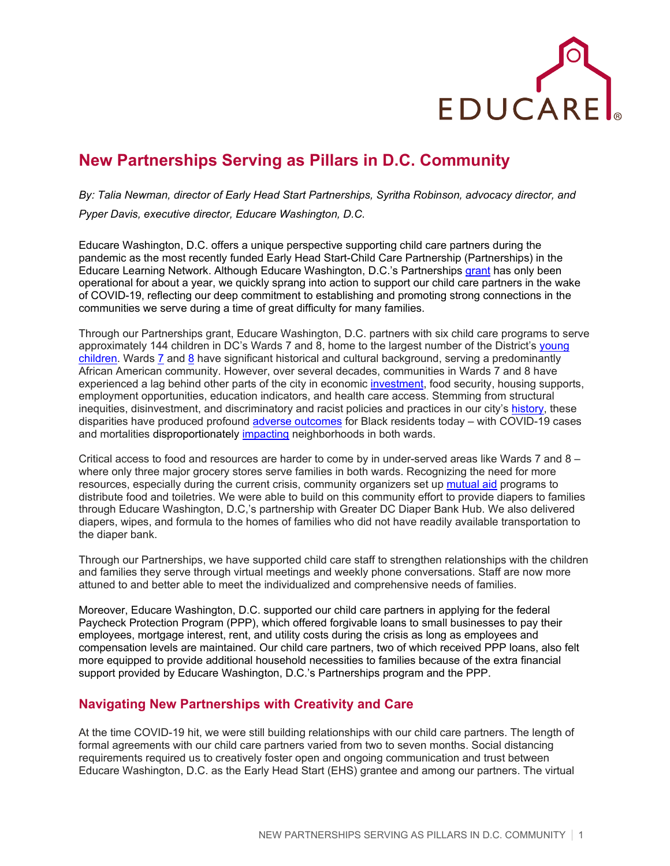

## **New Partnerships Serving as Pillars in D.C. Community**

*By: Talia Newman, director of Early Head Start Partnerships, Syritha Robinson, advocacy director, and Pyper Davis, executive director, Educare Washington, D.C.*

Educare Washington, D.C. offers a unique perspective supporting child care partners during the pandemic as the most recently funded Early Head Start-Child Care Partnership (Partnerships) in the Educare Learning Network. Although Educare Washington, D.C.'s Partnerships [grant](https://www.educaredc.org/what-we-offer/childcare-partnership/#:%7E:text=In%20April%202019%2C%20Educare%20DC,number%20of%20children%20we%20serve.) has only been operational for about a year, we quickly sprang into action to support our child care partners in the wake of COVID-19, reflecting our deep commitment to establishing and promoting strong connections in the communities we serve during a time of great difficulty for many families.

Through our Partnerships grant, Educare Washington, D.C. partners with six child care programs to serve approximately 144 children in DC's Wards 7 and 8, home to the largest number of the District's [young](https://www.dcactionforchildren.org/sites/default/files/2016WARDSnapshots_FINAL_4_11_17.pdf)  [children.](https://www.dcactionforchildren.org/sites/default/files/2016WARDSnapshots_FINAL_4_11_17.pdf) Wards [7](https://planning.dc.gov/sites/default/files/dc/sites/op/release_content/attachments/Ward_7_Heritage_Guide.pdf) and [8](https://planning.dc.gov/sites/default/files/dc/sites/op/page_content/attachments/Ward%208%20Heritage%20Guide%20FINAL%20Revised.pdf) have significant historical and cultural background, serving a predominantly African American community. However, over several decades, communities in Wards 7 and 8 have experienced a lag behind other parts of the city in economic [investment,](https://www.washingtonpost.com/news/local/wp/2015/04/14/d-c-s-poorest-neighborhoods-now-more-concentrated-east-of-the-anacostia-study-shows/) food security, housing supports, employment opportunities, education indicators, and health care access. Stemming from structural inequities, disinvestment, and discriminatory and racist policies and practices in our city's [history,](https://www.urban.org/research/publication/color-wealth-nations-capital) these disparities have produced profound [adverse outcomes](https://www.dcfpi.org/all/the-black-burden-of-covid-19/) for Black residents today – with COVID-19 cases and mortalities disproportionately [impacting](https://www.npr.org/local/305/2020/05/11/853892794/d-c-s-black-residents-make-up-less-than-half-the-population-80-of-c-o-v-i-d-19-deaths) neighborhoods in both wards.

Critical access to food and resources are harder to come by in under-served areas like Wards 7 and 8 – where only three major grocery stores serve families in both wards. Recognizing the need for more resources, especially during the current crisis, community organizers set up [mutual aid](https://wamu.org/story/20/03/16/wards-7-and-8-are-pooling-resources-for-residents-without-access-to-food-and-supplies/) programs to distribute food and toiletries. We were able to build on this community effort to provide diapers to families through Educare Washington, D.C,'s partnership with Greater DC Diaper Bank Hub. We also delivered diapers, wipes, and formula to the homes of families who did not have readily available transportation to the diaper bank.

Through our Partnerships, we have supported child care staff to strengthen relationships with the children and families they serve through virtual meetings and weekly phone conversations. Staff are now more attuned to and better able to meet the individualized and comprehensive needs of families.

Moreover, Educare Washington, D.C. supported our child care partners in applying for the federal Paycheck Protection Program (PPP), which offered forgivable loans to small businesses to pay their employees, mortgage interest, rent, and utility costs during the crisis as long as employees and compensation levels are maintained. Our child care partners, two of which received PPP loans, also felt more equipped to provide additional household necessities to families because of the extra financial support provided by Educare Washington, D.C.'s Partnerships program and the PPP.

## **Navigating New Partnerships with Creativity and Care**

At the time COVID-19 hit, we were still building relationships with our child care partners. The length of formal agreements with our child care partners varied from two to seven months. Social distancing requirements required us to creatively foster open and ongoing communication and trust between Educare Washington, D.C. as the Early Head Start (EHS) grantee and among our partners. The virtual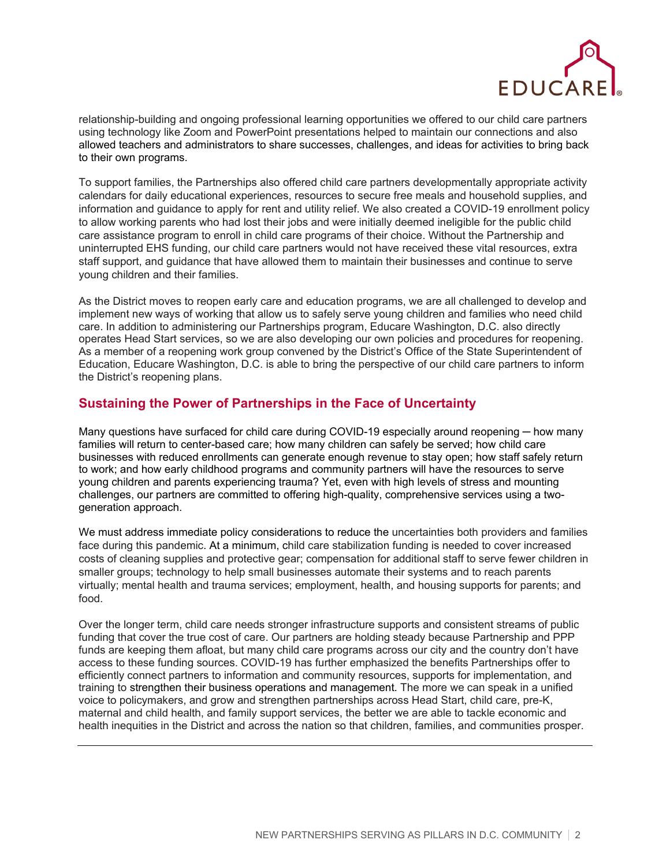

relationship-building and ongoing professional learning opportunities we offered to our child care partners using technology like Zoom and PowerPoint presentations helped to maintain our connections and also allowed teachers and administrators to share successes, challenges, and ideas for activities to bring back to their own programs.

To support families, the Partnerships also offered child care partners developmentally appropriate activity calendars for daily educational experiences, resources to secure free meals and household supplies, and information and guidance to apply for rent and utility relief. We also created a COVID-19 enrollment policy to allow working parents who had lost their jobs and were initially deemed ineligible for the public child care assistance program to enroll in child care programs of their choice. Without the Partnership and uninterrupted EHS funding, our child care partners would not have received these vital resources, extra staff support, and guidance that have allowed them to maintain their businesses and continue to serve young children and their families.

As the District moves to reopen early care and education programs, we are all challenged to develop and implement new ways of working that allow us to safely serve young children and families who need child care. In addition to administering our Partnerships program, Educare Washington, D.C. also directly operates Head Start services, so we are also developing our own policies and procedures for reopening. As a member of a reopening work group convened by the District's Office of the State Superintendent of Education, Educare Washington, D.C. is able to bring the perspective of our child care partners to inform the District's reopening plans.

## **Sustaining the Power of Partnerships in the Face of Uncertainty**

Many questions have surfaced for child care during COVID-19 especially around reopening — how many families will return to center-based care; how many children can safely be served; how child care businesses with reduced enrollments can generate enough revenue to stay open; how staff safely return to work; and how early childhood programs and community partners will have the resources to serve young children and parents experiencing trauma? Yet, even with high levels of stress and mounting challenges, our partners are committed to offering high-quality, comprehensive services using a twogeneration approach.

We must address immediate policy considerations to reduce the uncertainties both providers and families face during this pandemic. At a minimum, child care stabilization funding is needed to cover increased costs of cleaning supplies and protective gear; compensation for additional staff to serve fewer children in smaller groups; technology to help small businesses automate their systems and to reach parents virtually; mental health and trauma services; employment, health, and housing supports for parents; and food.

Over the longer term, child care needs stronger infrastructure supports and consistent streams of public funding that cover the true cost of care. Our partners are holding steady because Partnership and PPP funds are keeping them afloat, but many child care programs across our city and the country don't have access to these funding sources. COVID-19 has further emphasized the benefits Partnerships offer to efficiently connect partners to information and community resources, supports for implementation, and training to strengthen their business operations and management. The more we can speak in a unified voice to policymakers, and grow and strengthen partnerships across Head Start, child care, pre-K, maternal and child health, and family support services, the better we are able to tackle economic and health inequities in the District and across the nation so that children, families, and communities prosper.